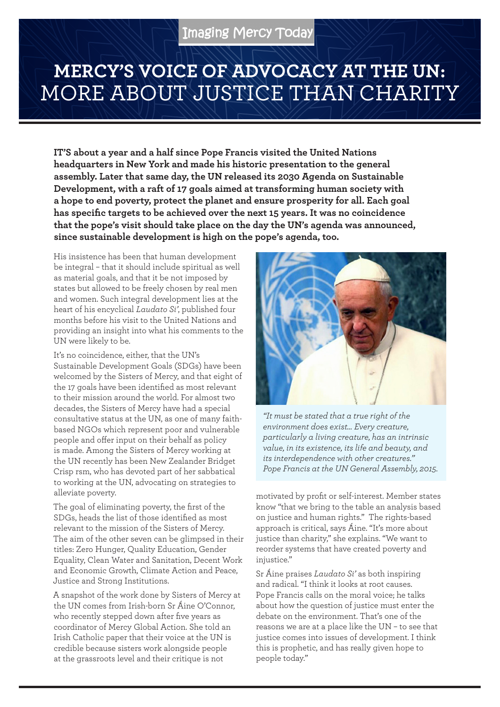## **MERCY'S VOICE OF ADVOCACY AT THE UN:**  MORE ABOUT JUSTICE THAN CHARITY

**IT'S about a year and a half since Pope Francis visited the United Nations headquarters in New York and made his historic presentation to the general assembly. Later that same day, the UN released its 2030 Agenda on Sustainable Development, with a raft of 17 goals aimed at transforming human society with a hope to end poverty, protect the planet and ensure prosperity for all. Each goal has specific targets to be achieved over the next 15 years. It was no coincidence that the pope's visit should take place on the day the UN's agenda was announced, since sustainable development is high on the pope's agenda, too.**

His insistence has been that human development be integral – that it should include spiritual as well as material goals, and that it be not imposed by states but allowed to be freely chosen by real men and women. Such integral development lies at the heart of his encyclical *Laudato Si'*, published four months before his visit to the United Nations and providing an insight into what his comments to the UN were likely to be.

It's no coincidence, either, that the UN's Sustainable Development Goals (SDGs) have been welcomed by the Sisters of Mercy, and that eight of the 17 goals have been identified as most relevant to their mission around the world. For almost two decades, the Sisters of Mercy have had a special consultative status at the UN, as one of many faithbased NGOs which represent poor and vulnerable people and offer input on their behalf as policy is made. Among the Sisters of Mercy working at the UN recently has been New Zealander Bridget Crisp rsm, who has devoted part of her sabbatical to working at the UN, advocating on strategies to alleviate poverty.

The goal of eliminating poverty, the first of the SDGs, heads the list of those identified as most relevant to the mission of the Sisters of Mercy. The aim of the other seven can be glimpsed in their titles: Zero Hunger, Quality Education, Gender Equality, Clean Water and Sanitation, Decent Work and Economic Growth, Climate Action and Peace, Justice and Strong Institutions.

A snapshot of the work done by Sisters of Mercy at the UN comes from Irish-born Sr Áine O'Connor, who recently stepped down after five years as coordinator of Mercy Global Action. She told an Irish Catholic paper that their voice at the UN is credible because sisters work alongside people at the grassroots level and their critique is not



*"It must be stated that a true right of the environment does exist… Every creature, particularly a living creature, has an intrinsic value, in its existence, its life and beauty, and its interdependence with other creatures." Pope Francis at the UN General Assembly, 2015.*

motivated by profit or self-interest. Member states know "that we bring to the table an analysis based on justice and human rights." The rights-based approach is critical, says Áine. "It's more about justice than charity," she explains. "We want to reorder systems that have created poverty and injustice."

Sr Áine praises *Laudato Si'* as both inspiring and radical. "I think it looks at root causes. Pope Francis calls on the moral voice; he talks about how the question of justice must enter the debate on the environment. That's one of the reasons we are at a place like the UN – to see that justice comes into issues of development. I think this is prophetic, and has really given hope to people today."